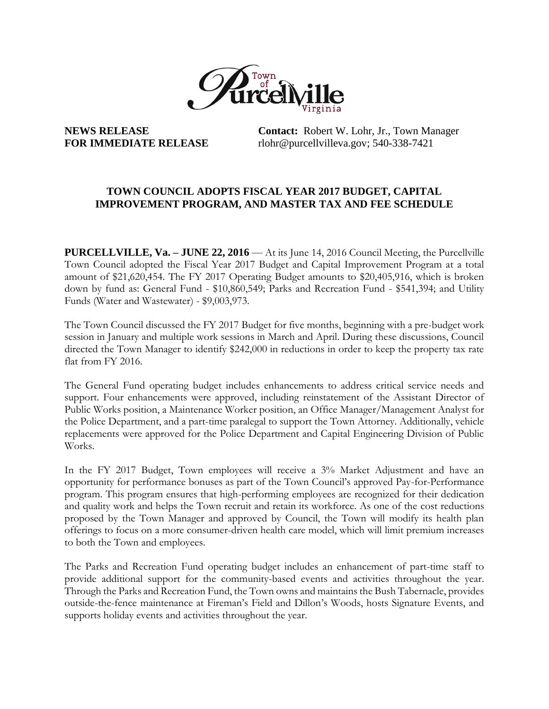

**NEWS RELEASE Contact:** Robert W. Lohr, Jr., Town Manager **FOR IMMEDIATE RELEASE** rlohr@purcellvilleva.gov; [540-338-7421](mailto:540-338-7422;%20dsmith9@purcellvilleva.gov)

## **TOWN COUNCIL ADOPTS FISCAL YEAR 2017 BUDGET, CAPITAL IMPROVEMENT PROGRAM, AND MASTER TAX AND FEE SCHEDULE**

**PURCELLVILLE, Va. – JUNE 22, 2016** — At its June 14, 2016 Council Meeting, the Purcellville Town Council adopted the Fiscal Year 2017 Budget and Capital Improvement Program at a total amount of \$21,620,454. The FY 2017 Operating Budget amounts to \$20,405,916, which is broken down by fund as: General Fund - \$10,860,549; Parks and Recreation Fund - \$541,394; and Utility Funds (Water and Wastewater) - \$9,003,973.

The Town Council discussed the FY 2017 Budget for five months, beginning with a pre-budget work session in January and multiple work sessions in March and April. During these discussions, Council directed the Town Manager to identify \$242,000 in reductions in order to keep the property tax rate flat from FY 2016.

The General Fund operating budget includes enhancements to address critical service needs and support. Four enhancements were approved, including reinstatement of the Assistant Director of Public Works position, a Maintenance Worker position, an Office Manager/Management Analyst for the Police Department, and a part-time paralegal to support the Town Attorney. Additionally, vehicle replacements were approved for the Police Department and Capital Engineering Division of Public Works.

In the FY 2017 Budget, Town employees will receive a 3% Market Adjustment and have an opportunity for performance bonuses as part of the Town Council's approved Pay-for-Performance program. This program ensures that high-performing employees are recognized for their dedication and quality work and helps the Town recruit and retain its workforce. As one of the cost reductions proposed by the Town Manager and approved by Council, the Town will modify its health plan offerings to focus on a more consumer-driven health care model, which will limit premium increases to both the Town and employees.

The Parks and Recreation Fund operating budget includes an enhancement of part-time staff to provide additional support for the community-based events and activities throughout the year. Through the Parks and Recreation Fund, the Town owns and maintains the Bush Tabernacle, provides outside-the-fence maintenance at Fireman's Field and Dillon's Woods, hosts Signature Events, and supports holiday events and activities throughout the year.